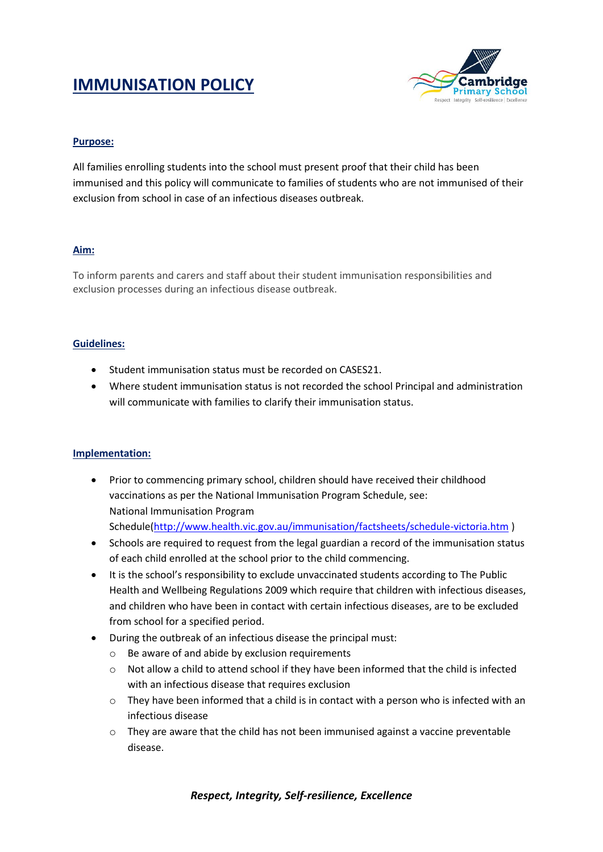# **IMMUNISATION POLICY**



## **Purpose:**

All families enrolling students into the school must present proof that their child has been immunised and this policy will communicate to families of students who are not immunised of their exclusion from school in case of an infectious diseases outbreak.

## **Aim:**

To inform parents and carers and staff about their student immunisation responsibilities and exclusion processes during an infectious disease outbreak.

## **Guidelines:**

- Student immunisation status must be recorded on CASES21.
- Where student immunisation status is not recorded the school Principal and administration will communicate with families to clarify their immunisation status.

## **Implementation:**

- Prior to commencing primary school, children should have received their childhood vaccinations as per the National Immunisation Program Schedule, see: National Immunisation Program Schedule[\(http://www.health.vic.gov.au/immunisation/factsheets/schedule-victoria.htm](http://www.health.vic.gov.au/immunisation/factsheets/schedule-victoria.htm) )
- Schools are required to request from the legal guardian a record of the immunisation status of each child enrolled at the school prior to the child commencing.
- It is the school's responsibility to exclude unvaccinated students according to The Public Health and Wellbeing Regulations 2009 which require that children with infectious diseases, and children who have been in contact with certain infectious diseases, are to be excluded from school for a specified period.
- During the outbreak of an infectious disease the principal must:
	- o Be aware of and abide by exclusion requirements
	- o Not allow a child to attend school if they have been informed that the child is infected with an infectious disease that requires exclusion
	- o They have been informed that a child is in contact with a person who is infected with an infectious disease
	- $\circ$  They are aware that the child has not been immunised against a vaccine preventable disease.